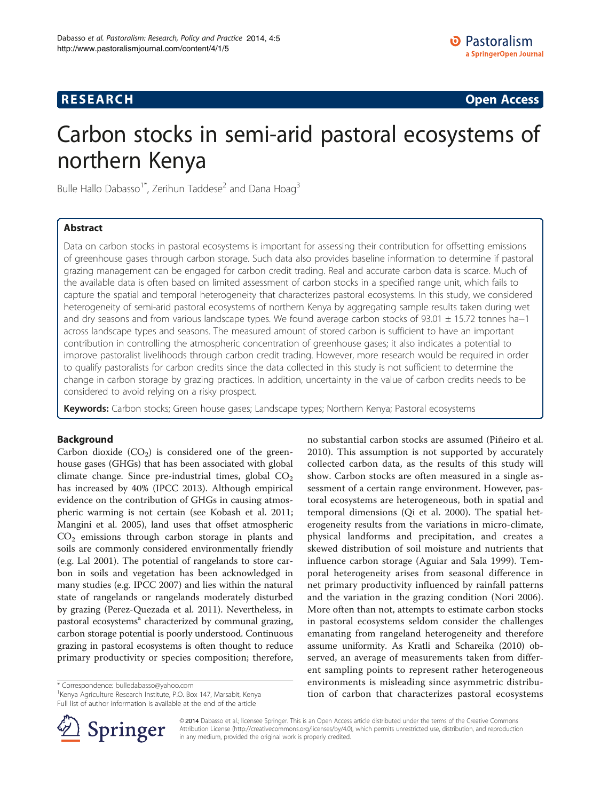## **RESEARCH CHINESE ARCH CHINESE ARCH CHINESE ARCH <b>CHINESE ARCH**

# Carbon stocks in semi-arid pastoral ecosystems of northern Kenya

Bulle Hallo Dabasso<sup>1\*</sup>, Zerihun Taddese<sup>2</sup> and Dana Hoag<sup>3</sup>

## Abstract

Data on carbon stocks in pastoral ecosystems is important for assessing their contribution for offsetting emissions of greenhouse gases through carbon storage. Such data also provides baseline information to determine if pastoral grazing management can be engaged for carbon credit trading. Real and accurate carbon data is scarce. Much of the available data is often based on limited assessment of carbon stocks in a specified range unit, which fails to capture the spatial and temporal heterogeneity that characterizes pastoral ecosystems. In this study, we considered heterogeneity of semi-arid pastoral ecosystems of northern Kenya by aggregating sample results taken during wet and dry seasons and from various landscape types. We found average carbon stocks of 93.01 ± 15.72 tonnes ha−1 across landscape types and seasons. The measured amount of stored carbon is sufficient to have an important contribution in controlling the atmospheric concentration of greenhouse gases; it also indicates a potential to improve pastoralist livelihoods through carbon credit trading. However, more research would be required in order to qualify pastoralists for carbon credits since the data collected in this study is not sufficient to determine the change in carbon storage by grazing practices. In addition, uncertainty in the value of carbon credits needs to be considered to avoid relying on a risky prospect.

Keywords: Carbon stocks; Green house gases; Landscape types; Northern Kenya; Pastoral ecosystems

## Background

Carbon dioxide  $(CO_2)$  is considered one of the greenhouse gases (GHGs) that has been associated with global climate change. Since pre-industrial times, global  $CO<sub>2</sub>$ has increased by 40% (IPCC [2013\)](#page-6-0). Although empirical evidence on the contribution of GHGs in causing atmospheric warming is not certain (see Kobash et al. [2011](#page-6-0); Mangini et al. [2005](#page-6-0)), land uses that offset atmospheric  $CO<sub>2</sub>$  emissions through carbon storage in plants and soils are commonly considered environmentally friendly (e.g. Lal [2001](#page-6-0)). The potential of rangelands to store carbon in soils and vegetation has been acknowledged in many studies (e.g. IPCC [2007](#page-6-0)) and lies within the natural state of rangelands or rangelands moderately disturbed by grazing (Perez-Quezada et al. [2011\)](#page-6-0). Nevertheless, in pastoral ecosystems<sup>a</sup> characterized by communal grazing, carbon storage potential is poorly understood. Continuous grazing in pastoral ecosystems is often thought to reduce primary productivity or species composition; therefore,

\* Correspondence: [bulledabasso@yahoo.com](mailto:bulledabasso@yahoo.com) <sup>1</sup>

<sup>1</sup> Kenya Agriculture Research Institute, P.O. Box 147, Marsabit, Kenya Full list of author information is available at the end of the article





© 2014 Dabasso et al.; licensee Springer. This is an Open Access article distributed under the terms of the Creative Commons Attribution License [\(http://creativecommons.org/licenses/by/4.0\)](http://creativecommons.org/licenses/by/4.0), which permits unrestricted use, distribution, and reproduction in any medium, provided the original work is properly credited.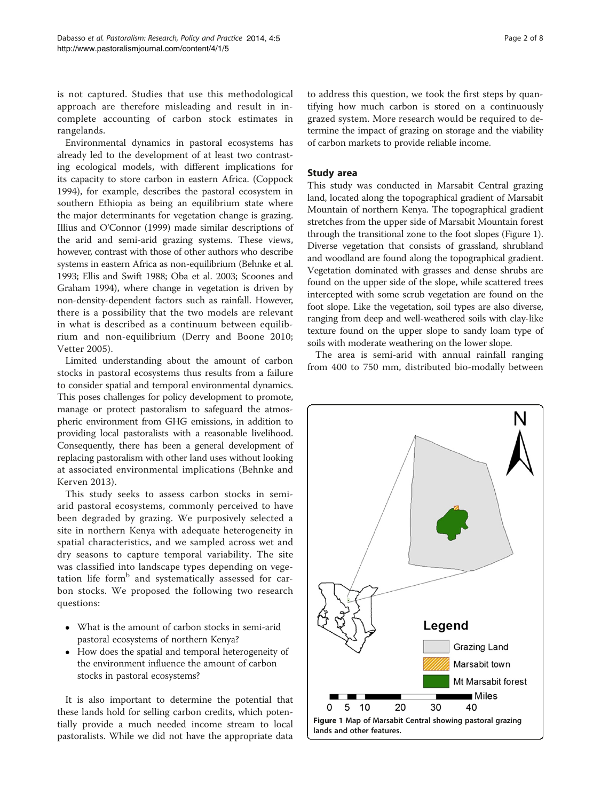is not captured. Studies that use this methodological approach are therefore misleading and result in incomplete accounting of carbon stock estimates in rangelands.

Environmental dynamics in pastoral ecosystems has already led to the development of at least two contrasting ecological models, with different implications for its capacity to store carbon in eastern Africa. (Coppock [1994](#page-6-0)), for example, describes the pastoral ecosystem in southern Ethiopia as being an equilibrium state where the major determinants for vegetation change is grazing. Illius and O'Connor [\(1999\)](#page-6-0) made similar descriptions of the arid and semi-arid grazing systems. These views, however, contrast with those of other authors who describe systems in eastern Africa as non-equilibrium (Behnke et al. [1993;](#page-6-0) Ellis and Swift [1988;](#page-6-0) Oba et al. [2003](#page-6-0); Scoones and Graham [1994\)](#page-6-0), where change in vegetation is driven by non-density-dependent factors such as rainfall. However, there is a possibility that the two models are relevant in what is described as a continuum between equilibrium and non-equilibrium (Derry and Boone [2010](#page-6-0); Vetter [2005](#page-7-0)).

Limited understanding about the amount of carbon stocks in pastoral ecosystems thus results from a failure to consider spatial and temporal environmental dynamics. This poses challenges for policy development to promote, manage or protect pastoralism to safeguard the atmospheric environment from GHG emissions, in addition to providing local pastoralists with a reasonable livelihood. Consequently, there has been a general development of replacing pastoralism with other land uses without looking at associated environmental implications (Behnke and Kerven [2013](#page-6-0)).

This study seeks to assess carbon stocks in semiarid pastoral ecosystems, commonly perceived to have been degraded by grazing. We purposively selected a site in northern Kenya with adequate heterogeneity in spatial characteristics, and we sampled across wet and dry seasons to capture temporal variability. The site was classified into landscape types depending on vegetation life form<sup>b</sup> and systematically assessed for carbon stocks. We proposed the following two research questions:

- What is the amount of carbon stocks in semi-arid pastoral ecosystems of northern Kenya?
- How does the spatial and temporal heterogeneity of the environment influence the amount of carbon stocks in pastoral ecosystems?

It is also important to determine the potential that these lands hold for selling carbon credits, which potentially provide a much needed income stream to local pastoralists. While we did not have the appropriate data

to address this question, we took the first steps by quantifying how much carbon is stored on a continuously grazed system. More research would be required to determine the impact of grazing on storage and the viability of carbon markets to provide reliable income.

## Study area

This study was conducted in Marsabit Central grazing land, located along the topographical gradient of Marsabit Mountain of northern Kenya. The topographical gradient stretches from the upper side of Marsabit Mountain forest through the transitional zone to the foot slopes (Figure 1). Diverse vegetation that consists of grassland, shrubland and woodland are found along the topographical gradient. Vegetation dominated with grasses and dense shrubs are found on the upper side of the slope, while scattered trees intercepted with some scrub vegetation are found on the foot slope. Like the vegetation, soil types are also diverse, ranging from deep and well-weathered soils with clay-like texture found on the upper slope to sandy loam type of soils with moderate weathering on the lower slope.

The area is semi-arid with annual rainfall ranging from 400 to 750 mm, distributed bio-modally between

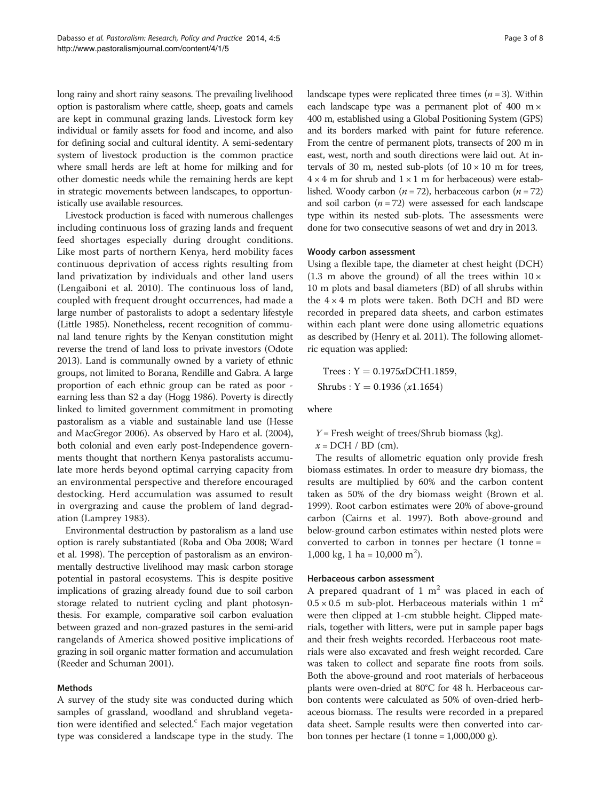long rainy and short rainy seasons. The prevailing livelihood option is pastoralism where cattle, sheep, goats and camels are kept in communal grazing lands. Livestock form key individual or family assets for food and income, and also for defining social and cultural identity. A semi-sedentary system of livestock production is the common practice where small herds are left at home for milking and for other domestic needs while the remaining herds are kept in strategic movements between landscapes, to opportunistically use available resources.

Livestock production is faced with numerous challenges including continuous loss of grazing lands and frequent feed shortages especially during drought conditions. Like most parts of northern Kenya, herd mobility faces continuous deprivation of access rights resulting from land privatization by individuals and other land users (Lengaiboni et al. [2010](#page-6-0)). The continuous loss of land, coupled with frequent drought occurrences, had made a large number of pastoralists to adopt a sedentary lifestyle (Little [1985](#page-6-0)). Nonetheless, recent recognition of communal land tenure rights by the Kenyan constitution might reverse the trend of land loss to private investors (Odote [2013\)](#page-6-0). Land is communally owned by a variety of ethnic groups, not limited to Borana, Rendille and Gabra. A large proportion of each ethnic group can be rated as poor earning less than \$2 a day (Hogg [1986\)](#page-6-0). Poverty is directly linked to limited government commitment in promoting pastoralism as a viable and sustainable land use (Hesse and MacGregor [2006](#page-6-0)). As observed by Haro et al. [\(2004](#page-6-0)), both colonial and even early post-Independence governments thought that northern Kenya pastoralists accumulate more herds beyond optimal carrying capacity from an environmental perspective and therefore encouraged destocking. Herd accumulation was assumed to result in overgrazing and cause the problem of land degradation (Lamprey [1983\)](#page-6-0).

Environmental destruction by pastoralism as a land use option is rarely substantiated (Roba and Oba [2008](#page-6-0); Ward et al. [1998\)](#page-7-0). The perception of pastoralism as an environmentally destructive livelihood may mask carbon storage potential in pastoral ecosystems. This is despite positive implications of grazing already found due to soil carbon storage related to nutrient cycling and plant photosynthesis. For example, comparative soil carbon evaluation between grazed and non-grazed pastures in the semi-arid rangelands of America showed positive implications of grazing in soil organic matter formation and accumulation (Reeder and Schuman 2001).

## Methods

A survey of the study site was conducted during which samples of grassland, woodland and shrubland vegetation were identified and selected.<sup>c</sup> Each major vegetation type was considered a landscape type in the study. The landscape types were replicated three times  $(n = 3)$ . Within each landscape type was a permanent plot of 400 m $\times$ 400 m, established using a Global Positioning System (GPS) and its borders marked with paint for future reference. From the centre of permanent plots, transects of 200 m in east, west, north and south directions were laid out. At intervals of 30 m, nested sub-plots (of  $10 \times 10$  m for trees,  $4 \times 4$  m for shrub and  $1 \times 1$  m for herbaceous) were established. Woody carbon ( $n = 72$ ), herbaceous carbon ( $n = 72$ ) and soil carbon  $(n = 72)$  were assessed for each landscape type within its nested sub-plots. The assessments were done for two consecutive seasons of wet and dry in 2013.

## Woody carbon assessment

Using a flexible tape, the diameter at chest height (DCH) (1.3 m above the ground) of all the trees within  $10 \times$ 10 m plots and basal diameters (BD) of all shrubs within the  $4 \times 4$  m plots were taken. Both DCH and BD were recorded in prepared data sheets, and carbon estimates within each plant were done using allometric equations as described by (Henry et al. [2011\)](#page-6-0). The following allometric equation was applied:

Trees :  $Y = 0.1975xDCH1.1859$ , Shrubs :  $Y = 0.1936 (x1.1654)$ 

where

 $Y =$  Fresh weight of trees/Shrub biomass (kg).  $x = DCH / BD$  (cm).

The results of allometric equation only provide fresh biomass estimates. In order to measure dry biomass, the results are multiplied by 60% and the carbon content taken as 50% of the dry biomass weight (Brown et al. [1999](#page-6-0)). Root carbon estimates were 20% of above-ground carbon (Cairns et al. [1997\)](#page-6-0). Both above-ground and below-ground carbon estimates within nested plots were converted to carbon in tonnes per hectare (1 tonne = 1,000 kg, 1 ha =  $10,000 \text{ m}^2$ ).

## Herbaceous carbon assessment

A prepared quadrant of  $1 \text{ m}^2$  was placed in each of  $0.5 \times 0.5$  m sub-plot. Herbaceous materials within 1 m<sup>2</sup> were then clipped at 1-cm stubble height. Clipped materials, together with litters, were put in sample paper bags and their fresh weights recorded. Herbaceous root materials were also excavated and fresh weight recorded. Care was taken to collect and separate fine roots from soils. Both the above-ground and root materials of herbaceous plants were oven-dried at 80°C for 48 h. Herbaceous carbon contents were calculated as 50% of oven-dried herbaceous biomass. The results were recorded in a prepared data sheet. Sample results were then converted into carbon tonnes per hectare  $(1 \text{ tonne} = 1,000,000 \text{ g}).$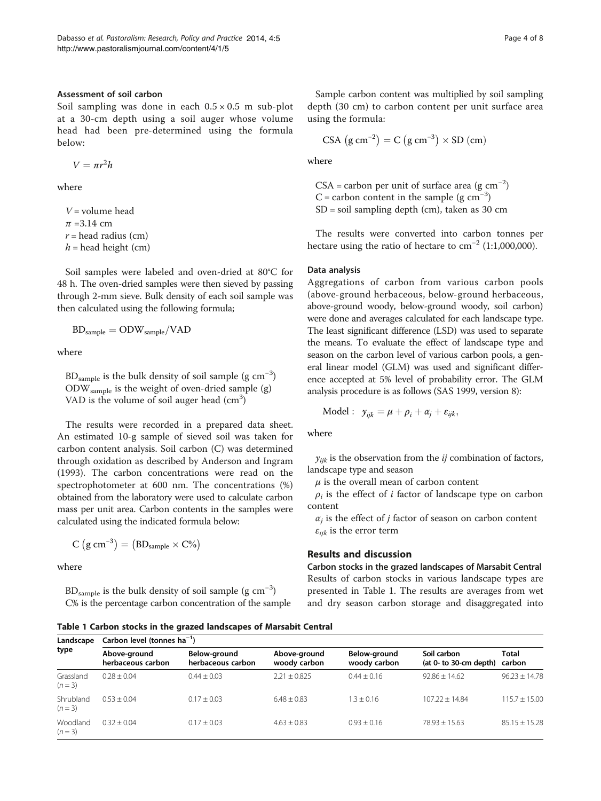## <span id="page-3-0"></span>Assessment of soil carbon

Soil sampling was done in each  $0.5 \times 0.5$  m sub-plot at a 30-cm depth using a soil auger whose volume head had been pre-determined using the formula below:

$$
V = \pi r^2 h
$$

where

 $V =$  volume head  $\pi$  =3.14 cm  $r =$  head radius (cm)  $h =$  head height (cm)

Soil samples were labeled and oven-dried at 80°C for 48 h. The oven-dried samples were then sieved by passing through 2-mm sieve. Bulk density of each soil sample was then calculated using the following formula;

$$
BD_{sample} = ODW_{sample}/VAD
$$

where

 $\rm BD_{sample}$  is the bulk density of soil sample (g  $\rm cm^{-3})$ ODWsample is the weight of oven-dried sample (g) VAD is the volume of soil auger head (cm<sup>3</sup>)

The results were recorded in a prepared data sheet. An estimated 10-g sample of sieved soil was taken for carbon content analysis. Soil carbon (C) was determined through oxidation as described by Anderson and Ingram ([1993](#page-6-0)). The carbon concentrations were read on the spectrophotometer at 600 nm. The concentrations (%) obtained from the laboratory were used to calculate carbon mass per unit area. Carbon contents in the samples were calculated using the indicated formula below:

$$
C (g cm^{-3}) = (BD_{sample} \times C\%)
$$

where

 $BD_{sample}$  is the bulk density of soil sample (g  $cm^{-3}$ ) C% is the percentage carbon concentration of the sample

Sample carbon content was multiplied by soil sampling depth (30 cm) to carbon content per unit surface area using the formula:

$$
CSA (g cm^{-2}) = C (g cm^{-3}) \times SD (cm)
$$

where

CSA = carbon per unit of surface area  $(g \text{ cm}^{-2})$ C = carbon content in the sample  $(g \text{ cm}^{-3})$  $SD = soil sampling depth (cm)$ , taken as 30 cm

The results were converted into carbon tonnes per hectare using the ratio of hectare to  $cm^{-2}$  (1:1,000,000).

## Data analysis

Aggregations of carbon from various carbon pools (above-ground herbaceous, below-ground herbaceous, above-ground woody, below-ground woody, soil carbon) were done and averages calculated for each landscape type. The least significant difference (LSD) was used to separate the means. To evaluate the effect of landscape type and season on the carbon level of various carbon pools, a general linear model (GLM) was used and significant difference accepted at 5% level of probability error. The GLM analysis procedure is as follows (SAS [1999](#page-6-0), version 8):

$$
Model: y_{ijk} = \mu + \rho_i + \alpha_j + \varepsilon_{ijk},
$$

where

 $y_{ijk}$  is the observation from the  $ij$  combination of factors, landscape type and season

 $\mu$  is the overall mean of carbon content

 $\rho_i$  is the effect of *i* factor of landscape type on carbon content

 $\alpha_i$  is the effect of j factor of season on carbon content  $\varepsilon_{ijk}$  is the error term

## Results and discussion

Carbon stocks in the grazed landscapes of Marsabit Central Results of carbon stocks in various landscape types are presented in Table 1. The results are averages from wet and dry season carbon storage and disaggregated into

Table 1 Carbon stocks in the grazed landscapes of Marsabit Central

| Landscape<br>type    | Carbon level (tonnes $ha^{-1}$ )  |                                   |                              |                              |                                       |                   |  |  |
|----------------------|-----------------------------------|-----------------------------------|------------------------------|------------------------------|---------------------------------------|-------------------|--|--|
|                      | Above-ground<br>herbaceous carbon | Below-ground<br>herbaceous carbon | Above-ground<br>woody carbon | Below-ground<br>woody carbon | Soil carbon<br>(at 0- to 30-cm depth) | Total<br>carbon   |  |  |
| Grassland<br>$(n=3)$ | $0.28 + 0.04$                     | $0.44 + 0.03$                     | $2.21 \pm 0.825$             | $0.44 + 0.16$                | $92.86 + 14.62$                       | $96.23 + 14.78$   |  |  |
| Shrubland<br>$(n=3)$ | $0.53 + 0.04$                     | $0.17 + 0.03$                     | $6.48 \pm 0.83$              | $1.3 + 0.16$                 | $107.22 + 14.84$                      | $115.7 + 15.00$   |  |  |
| Woodland<br>$(n=3)$  | $0.32 + 0.04$                     | $0.17 \pm 0.03$                   | $4.63 \pm 0.83$              | $0.93 + 0.16$                | $78.93 \pm 15.63$                     | $85.15 \pm 15.28$ |  |  |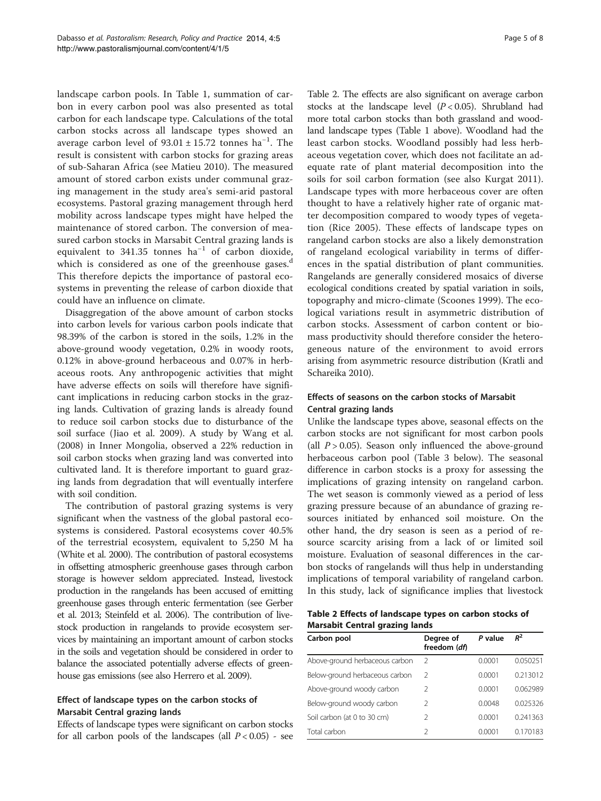landscape carbon pools. In Table [1,](#page-3-0) summation of carbon in every carbon pool was also presented as total carbon for each landscape type. Calculations of the total carbon stocks across all landscape types showed an average carbon level of  $93.01 \pm 15.72$  tonnes ha<sup>-1</sup>. The result is consistent with carbon stocks for grazing areas of sub-Saharan Africa (see Matieu [2010](#page-6-0)). The measured amount of stored carbon exists under communal grazing management in the study area's semi-arid pastoral ecosystems. Pastoral grazing management through herd mobility across landscape types might have helped the maintenance of stored carbon. The conversion of measured carbon stocks in Marsabit Central grazing lands is equivalent to 341.35 tonnes ha−<sup>1</sup> of carbon dioxide, which is considered as one of the greenhouse gases.<sup>d</sup> This therefore depicts the importance of pastoral ecosystems in preventing the release of carbon dioxide that could have an influence on climate.

Disaggregation of the above amount of carbon stocks into carbon levels for various carbon pools indicate that 98.39% of the carbon is stored in the soils, 1.2% in the above-ground woody vegetation, 0.2% in woody roots, 0.12% in above-ground herbaceous and 0.07% in herbaceous roots. Any anthropogenic activities that might have adverse effects on soils will therefore have significant implications in reducing carbon stocks in the grazing lands. Cultivation of grazing lands is already found to reduce soil carbon stocks due to disturbance of the soil surface (Jiao et al. [2009\)](#page-6-0). A study by Wang et al. ([2008](#page-7-0)) in Inner Mongolia, observed a 22% reduction in soil carbon stocks when grazing land was converted into cultivated land. It is therefore important to guard grazing lands from degradation that will eventually interfere with soil condition.

The contribution of pastoral grazing systems is very significant when the vastness of the global pastoral ecosystems is considered. Pastoral ecosystems cover 40.5% of the terrestrial ecosystem, equivalent to 5,250 M ha (White et al. [2000](#page-7-0)). The contribution of pastoral ecosystems in offsetting atmospheric greenhouse gases through carbon storage is however seldom appreciated. Instead, livestock production in the rangelands has been accused of emitting greenhouse gases through enteric fermentation (see Gerber et al. [2013](#page-6-0); Steinfeld et al. [2006\)](#page-6-0). The contribution of livestock production in rangelands to provide ecosystem services by maintaining an important amount of carbon stocks in the soils and vegetation should be considered in order to balance the associated potentially adverse effects of greenhouse gas emissions (see also Herrero et al. [2009\)](#page-6-0).

## Effect of landscape types on the carbon stocks of Marsabit Central grazing lands

Effects of landscape types were significant on carbon stocks for all carbon pools of the landscapes (all  $P < 0.05$ ) - see

Table 2. The effects are also significant on average carbon stocks at the landscape level  $(P < 0.05)$ . Shrubland had more total carbon stocks than both grassland and woodland landscape types (Table [1](#page-3-0) above). Woodland had the least carbon stocks. Woodland possibly had less herbaceous vegetation cover, which does not facilitate an adequate rate of plant material decomposition into the soils for soil carbon formation (see also Kurgat [2011](#page-6-0)). Landscape types with more herbaceous cover are often thought to have a relatively higher rate of organic matter decomposition compared to woody types of vegetation (Rice [2005\)](#page-6-0). These effects of landscape types on rangeland carbon stocks are also a likely demonstration of rangeland ecological variability in terms of differences in the spatial distribution of plant communities. Rangelands are generally considered mosaics of diverse ecological conditions created by spatial variation in soils, topography and micro-climate (Scoones [1999](#page-6-0)). The ecological variations result in asymmetric distribution of carbon stocks. Assessment of carbon content or biomass productivity should therefore consider the heterogeneous nature of the environment to avoid errors arising from asymmetric resource distribution (Kratli and Schareika [2010\)](#page-6-0).

## Effects of seasons on the carbon stocks of Marsabit Central grazing lands

Unlike the landscape types above, seasonal effects on the carbon stocks are not significant for most carbon pools (all  $P > 0.05$ ). Season only influenced the above-ground herbaceous carbon pool (Table [3](#page-5-0) below). The seasonal difference in carbon stocks is a proxy for assessing the implications of grazing intensity on rangeland carbon. The wet season is commonly viewed as a period of less grazing pressure because of an abundance of grazing resources initiated by enhanced soil moisture. On the other hand, the dry season is seen as a period of resource scarcity arising from a lack of or limited soil moisture. Evaluation of seasonal differences in the carbon stocks of rangelands will thus help in understanding implications of temporal variability of rangeland carbon. In this study, lack of significance implies that livestock

Table 2 Effects of landscape types on carbon stocks of Marsabit Central grazing lands

| Carbon pool                    | Degree of<br>freedom (df) | P value | $R^2$    |
|--------------------------------|---------------------------|---------|----------|
| Above-ground herbaceous carbon | 2                         | 0.0001  | 0.050251 |
| Below-ground herbaceous carbon | 2                         | 0.0001  | 0.213012 |
| Above-ground woody carbon      | 2                         | 0.0001  | 0.062989 |
| Below-ground woody carbon      | $\mathcal{P}$             | 0.0048  | 0.025326 |
| Soil carbon (at 0 to 30 cm)    | $\mathcal{P}$             | 0.0001  | 0.241363 |
| Total carbon                   | フ                         | 0.0001  | 0.170183 |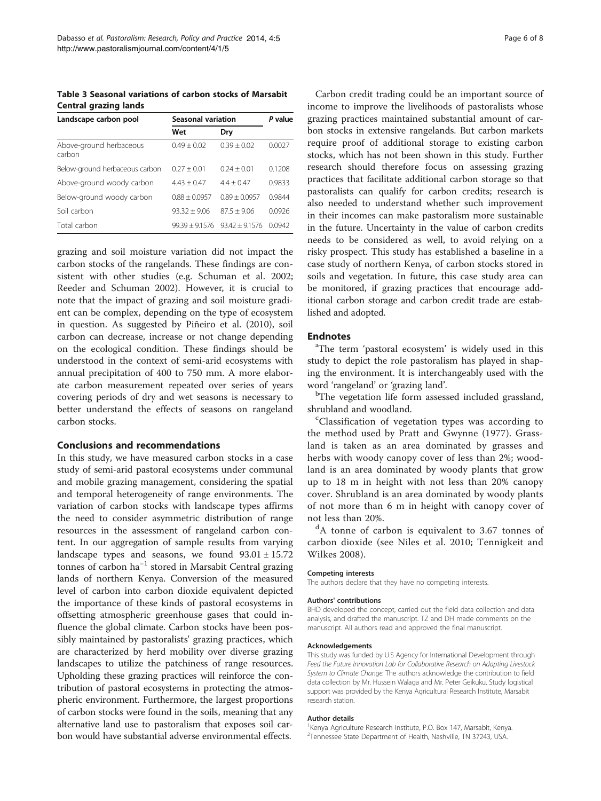<span id="page-5-0"></span>Table 3 Seasonal variations of carbon stocks of Marsabit Central grazing lands

| Landscape carbon pool             | <b>Seasonal variation</b> | P value         |        |
|-----------------------------------|---------------------------|-----------------|--------|
|                                   | Wet                       | Dry             |        |
| Above-ground herbaceous<br>carbon | $0.49 + 0.02$             | $0.39 + 0.02$   | 0.0027 |
| Below-ground herbaceous carbon    | $0.27 + 0.01$             | $0.24 + 0.01$   | 0.1208 |
| Above-ground woody carbon         | $4.43 + 0.47$             | $4.4 + 0.47$    | 0.9833 |
| Below-ground woody carbon         | $0.88 + 0.0957$           | $0.89 + 0.0957$ | 0.9844 |
| Soil carbon                       | $93.32 + 9.06$            | $875 + 906$     | 0.0926 |
| Total carbon                      | $99.39 + 9.1576$          | $9342 + 91576$  | 0.0942 |

grazing and soil moisture variation did not impact the carbon stocks of the rangelands. These findings are consistent with other studies (e.g. Schuman et al. [2002](#page-6-0); Reeder and Schuman [2002](#page-6-0)). However, it is crucial to note that the impact of grazing and soil moisture gradient can be complex, depending on the type of ecosystem in question. As suggested by Piñeiro et al. [\(2010\)](#page-6-0), soil carbon can decrease, increase or not change depending on the ecological condition. These findings should be understood in the context of semi-arid ecosystems with annual precipitation of 400 to 750 mm. A more elaborate carbon measurement repeated over series of years covering periods of dry and wet seasons is necessary to better understand the effects of seasons on rangeland carbon stocks.

#### Conclusions and recommendations

In this study, we have measured carbon stocks in a case study of semi-arid pastoral ecosystems under communal and mobile grazing management, considering the spatial and temporal heterogeneity of range environments. The variation of carbon stocks with landscape types affirms the need to consider asymmetric distribution of range resources in the assessment of rangeland carbon content. In our aggregation of sample results from varying landscape types and seasons, we found  $93.01 \pm 15.72$ tonnes of carbon ha−<sup>1</sup> stored in Marsabit Central grazing lands of northern Kenya. Conversion of the measured level of carbon into carbon dioxide equivalent depicted the importance of these kinds of pastoral ecosystems in offsetting atmospheric greenhouse gases that could influence the global climate. Carbon stocks have been possibly maintained by pastoralists' grazing practices, which are characterized by herd mobility over diverse grazing landscapes to utilize the patchiness of range resources. Upholding these grazing practices will reinforce the contribution of pastoral ecosystems in protecting the atmospheric environment. Furthermore, the largest proportions of carbon stocks were found in the soils, meaning that any alternative land use to pastoralism that exposes soil carbon would have substantial adverse environmental effects.

Carbon credit trading could be an important source of income to improve the livelihoods of pastoralists whose grazing practices maintained substantial amount of carbon stocks in extensive rangelands. But carbon markets require proof of additional storage to existing carbon stocks, which has not been shown in this study. Further research should therefore focus on assessing grazing practices that facilitate additional carbon storage so that pastoralists can qualify for carbon credits; research is also needed to understand whether such improvement in their incomes can make pastoralism more sustainable in the future. Uncertainty in the value of carbon credits needs to be considered as well, to avoid relying on a risky prospect. This study has established a baseline in a case study of northern Kenya, of carbon stocks stored in soils and vegetation. In future, this case study area can be monitored, if grazing practices that encourage additional carbon storage and carbon credit trade are established and adopted.

## **Endnotes**

The term 'pastoral ecosystem' is widely used in this study to depict the role pastoralism has played in shaping the environment. It is interchangeably used with the word 'rangeland' or 'grazing land'. <sup>b</sup>

<sup>b</sup>The vegetation life form assessed included grassland, shrubland and woodland.

Classification of vegetation types was according to the method used by Pratt and Gwynne [\(1977\)](#page-6-0). Grassland is taken as an area dominated by grasses and herbs with woody canopy cover of less than 2%; woodland is an area dominated by woody plants that grow up to 18 m in height with not less than 20% canopy cover. Shrubland is an area dominated by woody plants of not more than 6 m in height with canopy cover of not less than 20%.

<sup>d</sup>A tonne of carbon is equivalent to 3.67 tonnes of carbon dioxide (see Niles et al. [2010](#page-6-0); Tennigkeit and Wilkes [2008](#page-6-0)).

#### Competing interests

The authors declare that they have no competing interests.

#### Authors' contributions

BHD developed the concept, carried out the field data collection and data analysis, and drafted the manuscript. TZ and DH made comments on the manuscript. All authors read and approved the final manuscript.

#### Acknowledgements

This study was funded by U.S Agency for International Development through Feed the Future Innovation Lab for Collaborative Research on Adapting Livestock System to Climate Change. The authors acknowledge the contribution to field data collection by Mr. Hussein Walaga and Mr. Peter Geikuku. Study logistical support was provided by the Kenya Agricultural Research Institute, Marsabit research station.

#### Author details

<sup>1</sup> Kenya Agriculture Research Institute, P.O. Box 147, Marsabit, Kenya 2 Tennessee State Department of Health, Nashville, TN 37243, USA.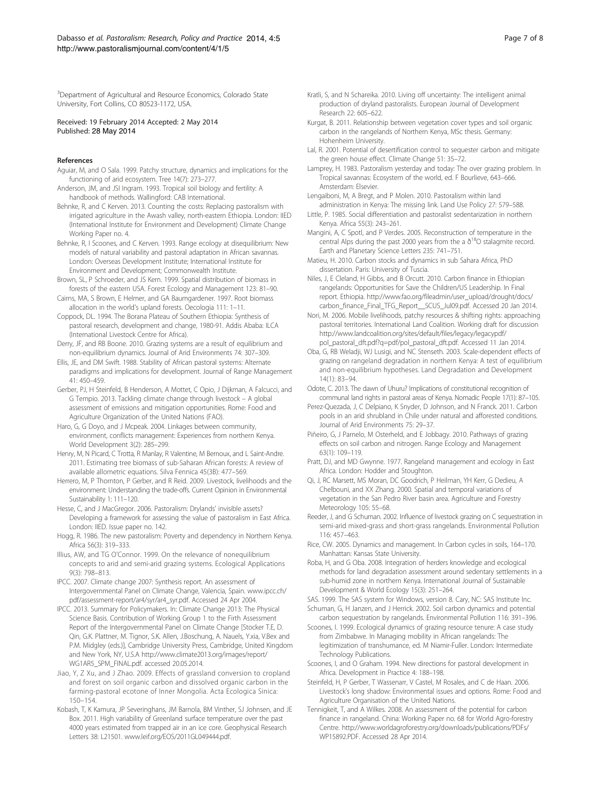<span id="page-6-0"></span><sup>3</sup>Department of Agricultural and Resource Economics, Colorado State University, Fort Collins, CO 80523-1172, USA.

Received: 19 February 2014 Accepted: 2 May 2014 Published: 28 May 2014

#### References

Aguiar, M, and O Sala. 1999. Patchy structure, dynamics and implications for the functioning of arid ecosystem. Tree 14(7): 273–277.

Anderson, JM, and JSI Ingram. 1993. Tropical soil biology and fertility: A handbook of methods. Wallingford: CAB International.

Behnke, R, and C Kerven. 2013. Counting the costs: Replacing pastoralism with irrigated agriculture in the Awash valley, north-eastern Ethiopia. London: IIED (International Institute for Environment and Development) Climate Change Working Paper no. 4.

Behnke, R, I Scoones, and C Kerven. 1993. Range ecology at disequilibrium: New models of natural variability and pastoral adaptation in African savannas. London: Overseas Development Institute; International Institute for Environment and Development; Commonwealth Institute.

Brown, SL, P Schroeder, and JS Kern. 1999. Spatial distribution of biomass in forests of the eastern USA. Forest Ecology and Management 123: 81–90.

Cairns, MA, S Brown, E Helmer, and GA Baumgardener. 1997. Root biomass allocation in the world's upland forests. Oecologia 111: 1–11.

Coppock, DL. 1994. The Borana Plateau of Southern Ethiopia: Synthesis of pastoral research, development and change, 1980-91. Addis Ababa: ILCA (International Livestock Centre for Africa).

Derry, JF, and RB Boone. 2010. Grazing systems are a result of equilibrium and non-equilibrium dynamics. Journal of Arid Environments 74: 307–309.

Ellis, JE, and DM Swift. 1988. Stability of African pastoral systems: Alternate paradigms and implications for development. Journal of Range Management  $41.450 - 459$ 

Gerber, PJ, H Steinfeld, B Henderson, A Mottet, C Opio, J Dijkman, A Falcucci, and G Tempio. 2013. Tackling climate change through livestock – A global assessment of emissions and mitigation opportunities. Rome: Food and Agriculture Organization of the United Nations (FAO).

Haro, G, G Doyo, and J Mcpeak. 2004. Linkages between community, environment, conflicts management: Experiences from northern Kenya. World Development 3(2): 285–299.

Henry, M, N Picard, C Trotta, R Manlay, R Valentine, M Bernoux, and L Saint-Andre. 2011. Estimating tree biomass of sub-Saharan African forests: A review of available allometric equations. Silva Fennica 45(3B): 477–569.

Herrero, M, P Thornton, P Gerber, and R Reid. 2009. Livestock, livelihoods and the environment: Understanding the trade-offs. Current Opinion in Environmental Sustainability 1: 111–120.

Hesse, C, and J MacGregor. 2006. Pastoralism: Drylands' invisible assets? Developing a framework for assessing the value of pastoralism in East Africa. London: IIED. Issue paper no. 142.

Hogg, R. 1986. The new pastoralism: Poverty and dependency in Northern Kenya. Africa 56(3): 319–333.

Illius, AW, and TG O'Connor. 1999. On the relevance of nonequilibrium concepts to arid and semi-arid grazing systems. Ecological Applications 9(3): 798–813.

IPCC. 2007. Climate change 2007: Synthesis report. An assessment of Intergovernmental Panel on Climate Change, Valencia, Spain. [www.ipcc.ch/](http://www.ipcc.ch/pdf/assessment-report/ar4/syr/ar4_syr.pdf) [pdf/assessment-report/ar4/syr/ar4\\_syr.pdf.](http://www.ipcc.ch/pdf/assessment-report/ar4/syr/ar4_syr.pdf) Accessed 24 Apr 2004.

IPCC. 2013. Summary for Policymakers. In: Climate Change 2013: The Physical Science Basis. Contribution of Working Group 1 to the Firth Assessment Report of the Intergovernmental Panel on Climate Change [Stocker T.E, D. Qin, G.K. Plattner, M. Tignor, S.K. Allen, J.Boschung, A. Nauels, Y.xia, V.Bex and P.M. Midgley (eds.)], Cambridge University Press, Cambridge, United Kingdom and New York, NY, U.S.A [http://www.climate2013.org/images/report/](http://www.climate2013.org/images/report/WG1AR5_SPM_FINAL.pdf) [WG1AR5\\_SPM\\_FINAL.pdf](http://www.climate2013.org/images/report/WG1AR5_SPM_FINAL.pdf). accessed 20.05.2014.

Jiao, Y, Z Xu, and J Zhao. 2009. Effects of grassland conversion to cropland and forest on soil organic carbon and dissolved organic carbon in the farming-pastoral ecotone of Inner Mongolia. Acta Ecologica Sinica: 150–154.

Kobash, T, K Kamura, JP Severinghans, JM Barnola, BM Vinther, SJ Johnsen, and JE Box. 2011. High variability of Greenland surface temperature over the past 4000 years estimated from trapped air in an ice core. Geophysical Research Letters 38: L21501. [www.leif.org/EOS/2011GL049444.pdf.](http://www.leif.org/EOS/2011GL049444.pdf)

- Kratli, S, and N Schareika. 2010. Living off uncertainty: The intelligent animal production of dryland pastoralists. European Journal of Development Research 22: 605–622.
- Kurgat, B. 2011. Relationship between vegetation cover types and soil organic carbon in the rangelands of Northern Kenya, MSc thesis. Germany: Hohenheim University.
- Lal, R. 2001. Potential of desertification control to sequester carbon and mitigate the green house effect. Climate Change 51: 35–72.
- Lamprey, H. 1983. Pastoralism yesterday and today: The over grazing problem. In Tropical savannas: Ecosystem of the world, ed. F Bourlieve, 643–666. Amsterdam: Elsevier.
- Lengaiboni, M, A Bregt, and P Molen. 2010. Pastoralism within land administration in Kenya: The missing link. Land Use Policy 27: 579–588.
- Little, P. 1985. Social differentiation and pastoralist sedentarization in northern Kenya. Africa 55(3): 243–261.
- Mangini, A, C Spotl, and P Verdes. 2005. Reconstruction of temperature in the central Alps during the past 2000 years from the a  $\delta^{18}O$  stalagmite record. Earth and Planetary Science Letters 235: 741–751.

Matieu, H. 2010. Carbon stocks and dynamics in sub Sahara Africa, PhD dissertation. Paris: University of Tuscia.

Niles, J, E Cleland, H Gibbs, and B Orcutt. 2010. Carbon finance in Ethiopian rangelands: Opportunities for Save the Children/US Leadership. In Final report. Ethiopia. [http://www.fao.org/fileadmin/user\\_upload/drought/docs/](http://www.fao.org/fileadmin/user_upload/drought/docs/carbon_finance_Final_TFG_Report__SCUS_Jul09.pdf) [carbon\\_finance\\_Final\\_TFG\\_Report\\_\\_SCUS\\_Jul09.pdf](http://www.fao.org/fileadmin/user_upload/drought/docs/carbon_finance_Final_TFG_Report__SCUS_Jul09.pdf). Accessed 20 Jan 2014.

Nori, M. 2006. Mobile livelihoods, patchy resources & shifting rights: approaching pastoral territories. International Land Coalition. Working draft for discussion [http://www.landcoalition.org/sites/default/files/legacy/legacypdf/](http://www.landcoalition.org/sites/default/files/legacy/legacypdf/pol_pastoral_dft.pdf?q=pdf/pol_pastoral_dft.pdf) [pol\\_pastoral\\_dft.pdf?q=pdf/pol\\_pastoral\\_dft.pdf.](http://www.landcoalition.org/sites/default/files/legacy/legacypdf/pol_pastoral_dft.pdf?q=pdf/pol_pastoral_dft.pdf) Accessed 11 Jan 2014.

Oba, G, RB Weladji, WJ Lusigi, and NC Stenseth. 2003. Scale-dependent effects of grazing on rangeland degradation in northern Kenya: A test of equilibrium and non-equilibrium hypotheses. Land Degradation and Development 14(1): 83–94.

Odote, C. 2013. The dawn of Uhuru? Implications of constitutional recognition of communal land rights in pastoral areas of Kenya. Nomadic People 17(1): 87–105.

Perez-Quezada, J, C Delpiano, K Snyder, D Johnson, and N Franck. 2011. Carbon pools in an arid shrubland in Chile under natural and afforested conditions. Journal of Arid Environments 75: 29–37.

Piñeiro, G, J Parnelo, M Osterheld, and E Jobbagy. 2010. Pathways of grazing effects on soil carbon and nitrogen. Range Ecology and Management 63(1): 109–119.

Pratt, DJ, and MD Gwynne. 1977. Rangeland management and ecology in East Africa. London: Hodder and Stoughton.

Qi, J, RC Marsett, MS Moran, DC Goodrich, P Heilman, YH Kerr, G Dedieu, A Chelbouni, and XX Zhang. 2000. Spatial and temporal variations of vegetation in the San Pedro River basin area. Agriculture and Forestry Meteorology 105: 55–68.

Reeder, J, and G Schuman. 2002. Influence of livestock grazing on C sequestration in semi-arid mixed-grass and short-grass rangelands. Environmental Pollution 116: 457–463.

Rice, CW. 2005. Dynamics and management. In Carbon cycles in soils, 164–170. Manhattan: Kansas State University.

Roba, H, and G Oba. 2008. Integration of herders knowledge and ecological methods for land degradation assessment around sedentary settlements in a sub-humid zone in northern Kenya. International Journal of Sustainable Development & World Ecology 15(3): 251–264.

SAS. 1999. The SAS system for Windows, version 8. Cary, NC: SAS Institute Inc. Schuman, G, H Janzen, and J Herrick. 2002. Soil carbon dynamics and potential

carbon sequestration by rangelands. Environmental Pollution 116: 391–396. Scoones, I. 1999. Ecological dynamics of grazing resource tenure: A case study

from Zimbabwe. In Managing mobility in African rangelands: The legitimization of transhumance, ed. M Niamir-Fuller. London: Intermediate Technology Publications.

Scoones, I, and O Graham. 1994. New directions for pastoral development in Africa. Development in Practice 4: 188–198.

Steinfeld, H, P Gerber, T Wassenarr, V Castel, M Rosales, and C de Haan. 2006. Livestock's long shadow: Environmental issues and options. Rome: Food and Agriculture Organisation of the United Nations.

Tennigkeit, T, and A Wilkes. 2008. An assessment of the potential for carbon finance in rangeland. China: Working Paper no. 68 for World Agro-forestry Centre. [http://www.worldagroforestry.org/downloads/publications/PDFs/](http://www.worldagroforestry.org/downloads/publications/PDFs/WP15892.PDF) [WP15892.PDF.](http://www.worldagroforestry.org/downloads/publications/PDFs/WP15892.PDF) Accessed 28 Apr 2014.